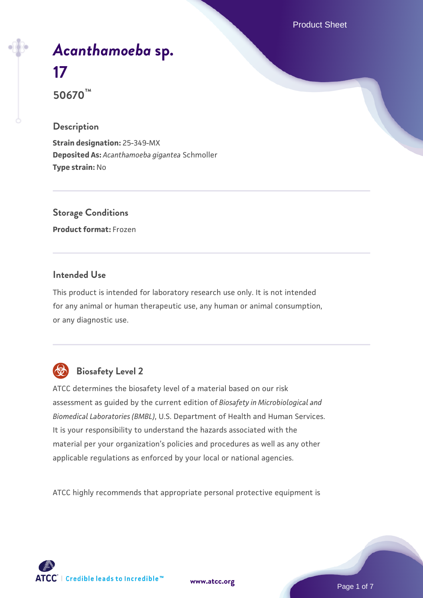Product Sheet

# *[Acanthamoeba](https://www.atcc.org/products/50670)* **[sp.](https://www.atcc.org/products/50670) [17](https://www.atcc.org/products/50670)**

**50670™**

#### **Description**

**Strain designation:** 25-349-MX **Deposited As:** *Acanthamoeba gigantea* Schmoller **Type strain:** No

### **Storage Conditions**

**Product format:** Frozen

#### **Intended Use**

This product is intended for laboratory research use only. It is not intended for any animal or human therapeutic use, any human or animal consumption, or any diagnostic use.



### **Biosafety Level 2**

ATCC determines the biosafety level of a material based on our risk assessment as guided by the current edition of *Biosafety in Microbiological and Biomedical Laboratories (BMBL)*, U.S. Department of Health and Human Services. It is your responsibility to understand the hazards associated with the material per your organization's policies and procedures as well as any other applicable regulations as enforced by your local or national agencies.

ATCC highly recommends that appropriate personal protective equipment is

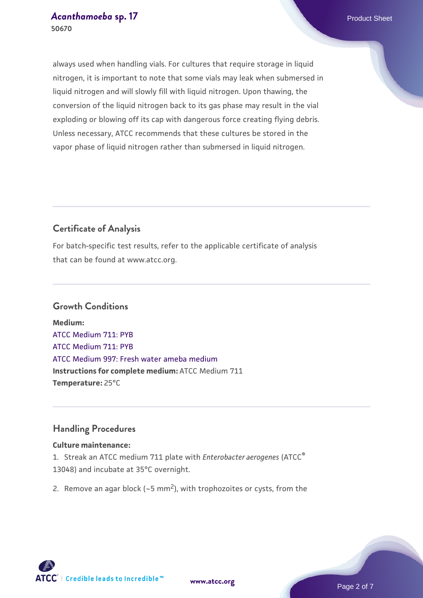always used when handling vials. For cultures that require storage in liquid nitrogen, it is important to note that some vials may leak when submersed in liquid nitrogen and will slowly fill with liquid nitrogen. Upon thawing, the conversion of the liquid nitrogen back to its gas phase may result in the vial exploding or blowing off its cap with dangerous force creating flying debris. Unless necessary, ATCC recommends that these cultures be stored in the vapor phase of liquid nitrogen rather than submersed in liquid nitrogen.

#### **Certificate of Analysis**

For batch-specific test results, refer to the applicable certificate of analysis that can be found at www.atcc.org.

#### **Growth Conditions**

**Medium:**  [ATCC Medium 711: PYB](https://www.atcc.org/-/media/product-assets/documents/microbial-media-formulations/1/atcc-medium-711.pdf?rev=bc2f19e8300a40f59b7ff666165bdd85) [ATCC Medium 711: PYB](https://www.atcc.org/-/media/product-assets/documents/microbial-media-formulations/1/atcc-medium-711.pdf?rev=bc2f19e8300a40f59b7ff666165bdd85) [ATCC Medium 997: Fresh water ameba medium](https://www.atcc.org/-/media/product-assets/documents/microbial-media-formulations/atcc-medium-997.pdf?rev=12fcf43d509a4d31b644ae73bda9a968) **Instructions for complete medium:** ATCC Medium 711 **Temperature:** 25°C

#### **Handling Procedures**

#### **Culture maintenance:**

1. Streak an ATCC medium 711 plate with *Enterobacter aerogenes* (ATCC® 13048) and incubate at 35°C overnight.

2. Remove an agar block ( $\sim$ 5 mm<sup>2</sup>), with trophozoites or cysts, from the

**[www.atcc.org](http://www.atcc.org)**

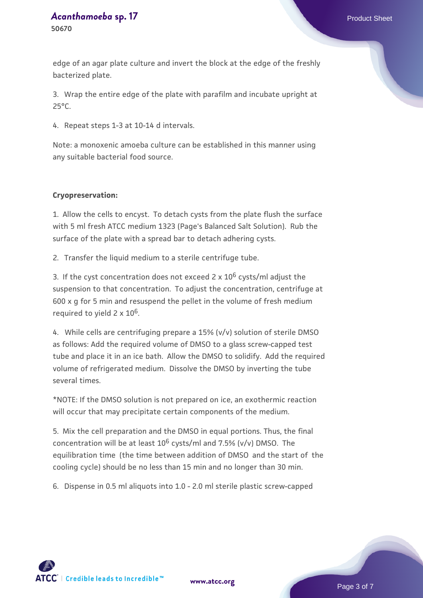## *[Acanthamoeba](https://www.atcc.org/products/50670)* **[sp. 17](https://www.atcc.org/products/50670)** Product Sheet

edge of an agar plate culture and invert the block at the edge of the freshly bacterized plate.

3. Wrap the entire edge of the plate with parafilm and incubate upright at 25°C.

4. Repeat steps 1-3 at 10-14 d intervals.

Note: a monoxenic amoeba culture can be established in this manner using any suitable bacterial food source.

#### **Cryopreservation:**

1. Allow the cells to encyst. To detach cysts from the plate flush the surface with 5 ml fresh ATCC medium 1323 (Page's Balanced Salt Solution). Rub the surface of the plate with a spread bar to detach adhering cysts.

2. Transfer the liquid medium to a sterile centrifuge tube.

3. If the cyst concentration does not exceed 2  $\times$  10<sup>6</sup> cysts/ml adjust the suspension to that concentration. To adjust the concentration, centrifuge at 600 x g for 5 min and resuspend the pellet in the volume of fresh medium required to yield 2 x 106.

4. While cells are centrifuging prepare a 15% (v/v) solution of sterile DMSO as follows: Add the required volume of DMSO to a glass screw-capped test tube and place it in an ice bath. Allow the DMSO to solidify. Add the required volume of refrigerated medium. Dissolve the DMSO by inverting the tube several times.

\*NOTE: If the DMSO solution is not prepared on ice, an exothermic reaction will occur that may precipitate certain components of the medium.

5. Mix the cell preparation and the DMSO in equal portions. Thus, the final concentration will be at least  $10^6$  cysts/ml and 7.5% (v/v) DMSO. The equilibration time (the time between addition of DMSO and the start of the cooling cycle) should be no less than 15 min and no longer than 30 min.

6. Dispense in 0.5 ml aliquots into 1.0 - 2.0 ml sterile plastic screw-capped

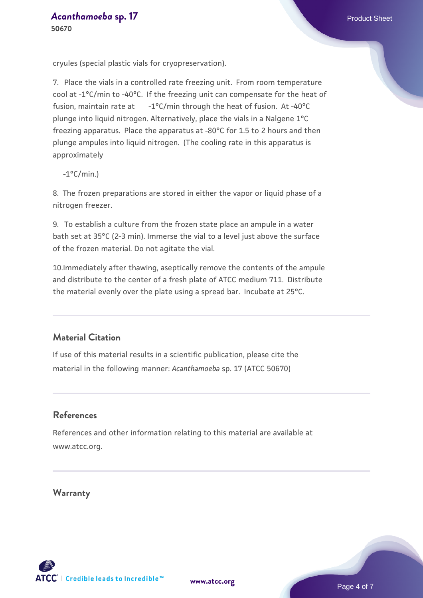cryules (special plastic vials for cryopreservation).

7. Place the vials in a controlled rate freezing unit. From room temperature cool at -1°C/min to -40°C. If the freezing unit can compensate for the heat of fusion, maintain rate at -1°C/min through the heat of fusion. At -40°C plunge into liquid nitrogen. Alternatively, place the vials in a Nalgene 1°C freezing apparatus. Place the apparatus at -80°C for 1.5 to 2 hours and then plunge ampules into liquid nitrogen. (The cooling rate in this apparatus is approximately

 $-1$ °C/min.)

8. The frozen preparations are stored in either the vapor or liquid phase of a nitrogen freezer.

9. To establish a culture from the frozen state place an ampule in a water bath set at 35°C (2-3 min). Immerse the vial to a level just above the surface of the frozen material. Do not agitate the vial.

10.Immediately after thawing, aseptically remove the contents of the ampule and distribute to the center of a fresh plate of ATCC medium 711. Distribute the material evenly over the plate using a spread bar. Incubate at 25°C.

#### **Material Citation**

If use of this material results in a scientific publication, please cite the material in the following manner: *Acanthamoeba* sp. 17 (ATCC 50670)

#### **References**

References and other information relating to this material are available at www.atcc.org.

**Warranty**

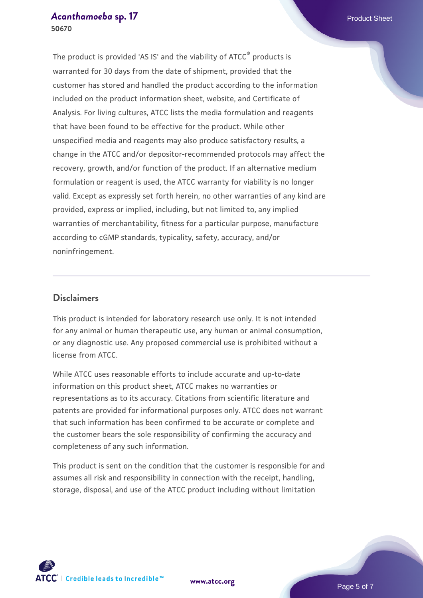## *[Acanthamoeba](https://www.atcc.org/products/50670)* **[sp. 17](https://www.atcc.org/products/50670)** Product Sheet

**50670**

The product is provided 'AS IS' and the viability of ATCC® products is warranted for 30 days from the date of shipment, provided that the customer has stored and handled the product according to the information included on the product information sheet, website, and Certificate of Analysis. For living cultures, ATCC lists the media formulation and reagents that have been found to be effective for the product. While other unspecified media and reagents may also produce satisfactory results, a change in the ATCC and/or depositor-recommended protocols may affect the recovery, growth, and/or function of the product. If an alternative medium formulation or reagent is used, the ATCC warranty for viability is no longer valid. Except as expressly set forth herein, no other warranties of any kind are provided, express or implied, including, but not limited to, any implied warranties of merchantability, fitness for a particular purpose, manufacture according to cGMP standards, typicality, safety, accuracy, and/or noninfringement.

#### **Disclaimers**

This product is intended for laboratory research use only. It is not intended for any animal or human therapeutic use, any human or animal consumption, or any diagnostic use. Any proposed commercial use is prohibited without a license from ATCC.

While ATCC uses reasonable efforts to include accurate and up-to-date information on this product sheet, ATCC makes no warranties or representations as to its accuracy. Citations from scientific literature and patents are provided for informational purposes only. ATCC does not warrant that such information has been confirmed to be accurate or complete and the customer bears the sole responsibility of confirming the accuracy and completeness of any such information.

This product is sent on the condition that the customer is responsible for and assumes all risk and responsibility in connection with the receipt, handling, storage, disposal, and use of the ATCC product including without limitation



**[www.atcc.org](http://www.atcc.org)**

Page 5 of 7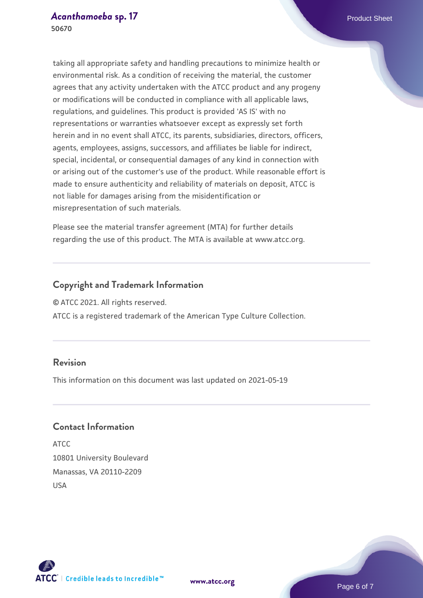taking all appropriate safety and handling precautions to minimize health or environmental risk. As a condition of receiving the material, the customer agrees that any activity undertaken with the ATCC product and any progeny or modifications will be conducted in compliance with all applicable laws, regulations, and guidelines. This product is provided 'AS IS' with no representations or warranties whatsoever except as expressly set forth herein and in no event shall ATCC, its parents, subsidiaries, directors, officers, agents, employees, assigns, successors, and affiliates be liable for indirect, special, incidental, or consequential damages of any kind in connection with or arising out of the customer's use of the product. While reasonable effort is made to ensure authenticity and reliability of materials on deposit, ATCC is not liable for damages arising from the misidentification or misrepresentation of such materials.

Please see the material transfer agreement (MTA) for further details regarding the use of this product. The MTA is available at www.atcc.org.

#### **Copyright and Trademark Information**

© ATCC 2021. All rights reserved.

ATCC is a registered trademark of the American Type Culture Collection.

#### **Revision**

This information on this document was last updated on 2021-05-19

#### **Contact Information**

ATCC 10801 University Boulevard Manassas, VA 20110-2209 USA